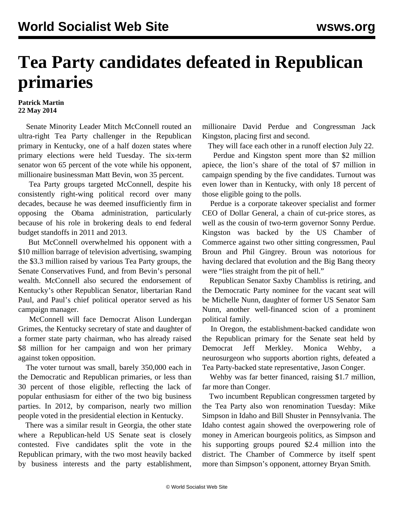## **Tea Party candidates defeated in Republican primaries**

## **Patrick Martin 22 May 2014**

 Senate Minority Leader Mitch McConnell routed an ultra-right Tea Party challenger in the Republican primary in Kentucky, one of a half dozen states where primary elections were held Tuesday. The six-term senator won 65 percent of the vote while his opponent, millionaire businessman Matt Bevin, won 35 percent.

 Tea Party groups targeted McConnell, despite his consistently right-wing political record over many decades, because he was deemed insufficiently firm in opposing the Obama administration, particularly because of his role in brokering deals to end federal budget standoffs in 2011 and 2013.

 But McConnell overwhelmed his opponent with a \$10 million barrage of television advertising, swamping the \$3.3 million raised by various Tea Party groups, the Senate Conservatives Fund, and from Bevin's personal wealth. McConnell also secured the endorsement of Kentucky's other Republican Senator, libertarian Rand Paul, and Paul's chief political operator served as his campaign manager.

 McConnell will face Democrat Alison Lundergan Grimes, the Kentucky secretary of state and daughter of a former state party chairman, who has already raised \$8 million for her campaign and won her primary against token opposition.

 The voter turnout was small, barely 350,000 each in the Democratic and Republican primaries, or less than 30 percent of those eligible, reflecting the lack of popular enthusiasm for either of the two big business parties. In 2012, by comparison, nearly two million people voted in the presidential election in Kentucky.

 There was a similar result in Georgia, the other state where a Republican-held US Senate seat is closely contested. Five candidates split the vote in the Republican primary, with the two most heavily backed by business interests and the party establishment, millionaire David Perdue and Congressman Jack Kingston, placing first and second.

They will face each other in a runoff election July 22.

 Perdue and Kingston spent more than \$2 million apiece, the lion's share of the total of \$7 million in campaign spending by the five candidates. Turnout was even lower than in Kentucky, with only 18 percent of those eligible going to the polls.

 Perdue is a corporate takeover specialist and former CEO of Dollar General, a chain of cut-price stores, as well as the cousin of two-term governor Sonny Perdue. Kingston was backed by the US Chamber of Commerce against two other sitting congressmen, Paul Broun and Phil Gingrey. Broun was notorious for having declared that evolution and the Big Bang theory were "lies straight from the pit of hell."

 Republican Senator Saxby Chambliss is retiring, and the Democratic Party nominee for the vacant seat will be Michelle Nunn, daughter of former US Senator Sam Nunn, another well-financed scion of a prominent political family.

 In Oregon, the establishment-backed candidate won the Republican primary for the Senate seat held by Democrat Jeff Merkley. Monica Wehby, neurosurgeon who supports abortion rights, defeated a Tea Party-backed state representative, Jason Conger.

 Wehby was far better financed, raising \$1.7 million, far more than Conger.

 Two incumbent Republican congressmen targeted by the Tea Party also won renomination Tuesday: Mike Simpson in Idaho and Bill Shuster in Pennsylvania. The Idaho contest again showed the overpowering role of money in American bourgeois politics, as Simpson and his supporting groups poured \$2.4 million into the district. The Chamber of Commerce by itself spent more than Simpson's opponent, attorney Bryan Smith.